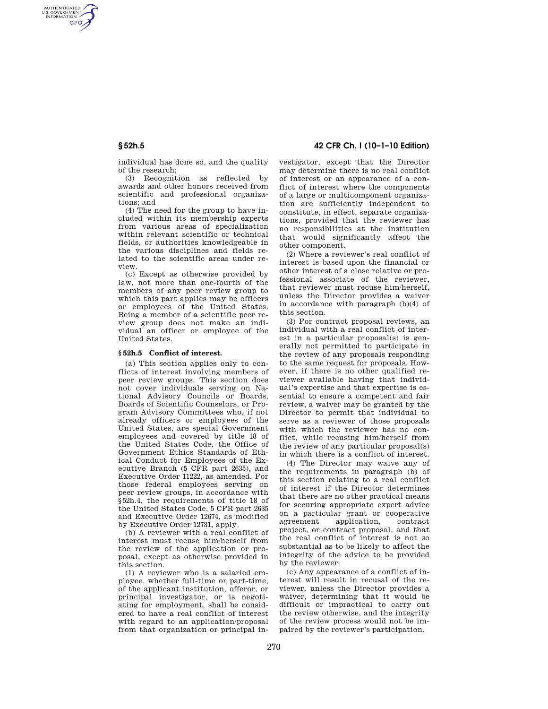AUTHENTICATED<br>U.S. GOVERNMENT<br>INFORMATION **GPO** 

> individual has done so, and the quality of the research;

> (3) Recognition as reflected by awards and other honors received from scientific and professional organizations; and

> (4) The need for the group to have included within its membership experts from various areas of specialization within relevant scientific or technical fields, or authorities knowledgeable in the various disciplines and fields related to the scientific areas under review.

> (c) Except as otherwise provided by law, not more than one-fourth of the members of any peer review group to which this part applies may be officers or employees of the United States. Being a member of a scientific peer review group does not make an individual an officer or employee of the United States.

### **§ 52h.5 Conflict of interest.**

(a) This section applies only to conflicts of interest involving members of peer review groups. This section does not cover individuals serving on National Advisory Councils or Boards, Boards of Scientific Counselors, or Program Advisory Committees who, if not already officers or employees of the United States, are special Government employees and covered by title 18 of the United States Code, the Office of Government Ethics Standards of Ethical Conduct for Employees of the Executive Branch (5 CFR part 2635), and Executive Order 11222, as amended. For those federal employees serving on peer review groups, in accordance with §52h.4, the requirements of title 18 of the United States Code, 5 CFR part 2635 and Executive Order 12674, as modified by Executive Order 12731, apply.

(b) A reviewer with a real conflict of interest must recuse him/herself from the review of the application or proposal, except as otherwise provided in this section.

(1) A reviewer who is a salaried employee, whether full-time or part-time, of the applicant institution, offeror, or principal investigator, or is negotiating for employment, shall be considered to have a real conflict of interest with regard to an application/proposal from that organization or principal in-

# **§ 52h.5 42 CFR Ch. I (10–1–10 Edition)**

vestigator, except that the Director may determine there is no real conflict of interest or an appearance of a conflict of interest where the components of a large or multicomponent organization are sufficiently independent to constitute, in effect, separate organizations, provided that the reviewer has no responsibilities at the institution that would significantly affect the other component.

(2) Where a reviewer's real conflict of interest is based upon the financial or other interest of a close relative or professional associate of the reviewer, that reviewer must recuse him/herself, unless the Director provides a waiver in accordance with paragraph (b)(4) of this section.

(3) For contract proposal reviews, an individual with a real conflict of interest in a particular proposal(s) is generally not permitted to participate in the review of any proposals responding to the same request for proposals. However, if there is no other qualified reviewer available having that individual's expertise and that expertise is essential to ensure a competent and fair review, a waiver may be granted by the Director to permit that individual to serve as a reviewer of those proposals with which the reviewer has no conflict, while recusing him/herself from the review of any particular proposal(s) in which there is a conflict of interest.

(4) The Director may waive any of the requirements in paragraph (b) of this section relating to a real conflict of interest if the Director determines that there are no other practical means for securing appropriate expert advice on a particular grant or cooperative agreement application, contract project, or contract proposal, and that the real conflict of interest is not so substantial as to be likely to affect the integrity of the advice to be provided by the reviewer.

(c) Any appearance of a conflict of interest will result in recusal of the reviewer, unless the Director provides a waiver, determining that it would be difficult or impractical to carry out the review otherwise, and the integrity of the review process would not be impaired by the reviewer's participation.